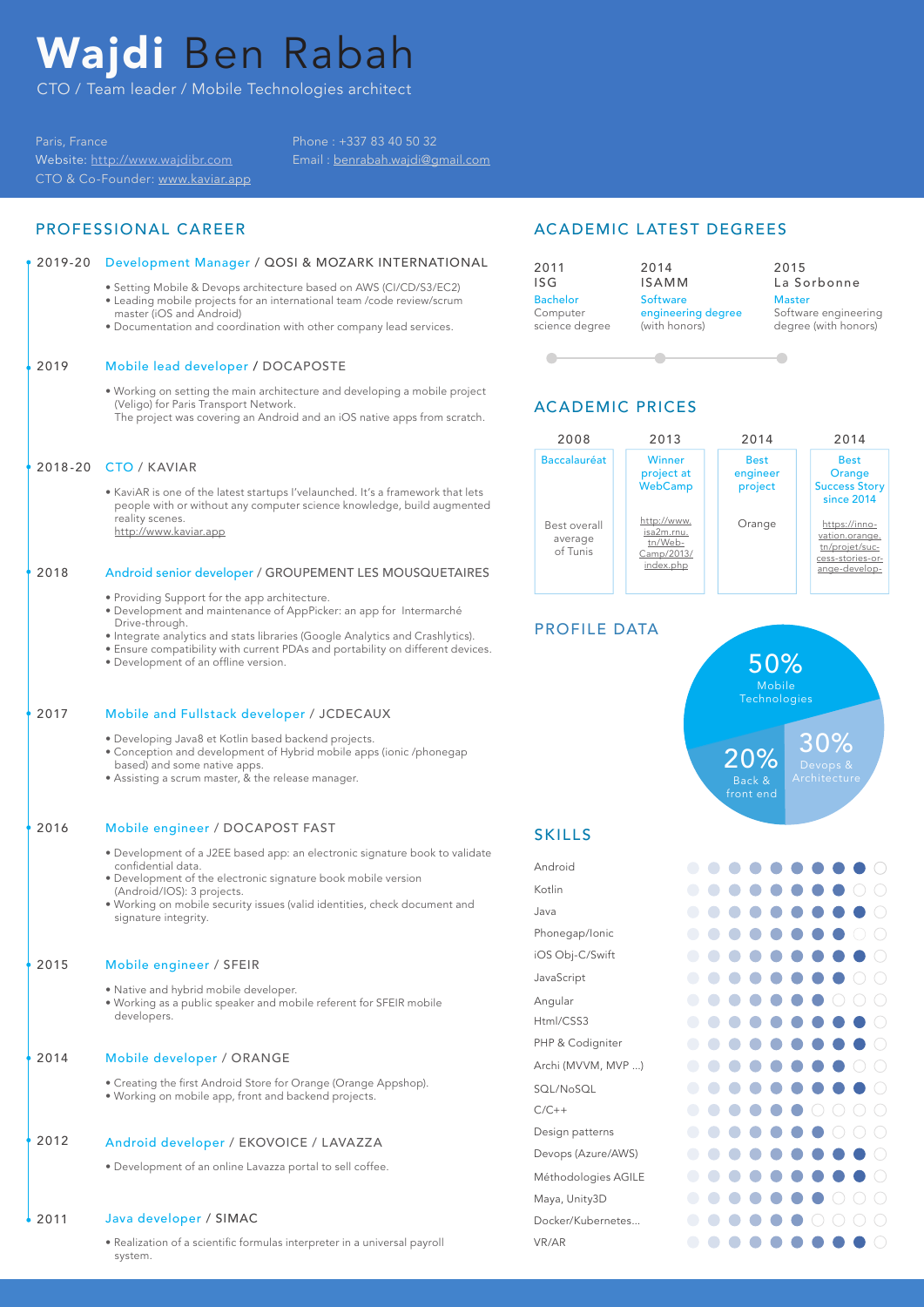# Wajdi Ben Rabah

CTO / Team leader / Mobile Technologies architect

Paris, France Website: http://www.wajdibr.com CTO & Co-Founder: www.kaviar.app Phone : +337 83 40 50 32 Email : benrabah.wajdi@gmail.com

### PROFESSIONAL CAREER

### 2019-20 Development Manager / QOSI & MOZARK INTERNATIONAL

- Setting Mobile & Devops architecture based on AWS (CI/CD/S3/EC2)
- Leading mobile projects for an international team /code review/scrum master (iOS and Android)
- Documentation and coordination with other company lead services.

### 2019 Mobile lead developer / DOCAPOSTE

- Working on setting the main architecture and developing a mobile project (Veligo) for Paris Transport Network. The project was covering an Android and an iOS native apps from scratch.
- 2018-20 CTO / KAVIAR
	- KaviAR is one of the latest startups I'velaunched. It's a framework that lets people with or without any computer science knowledge, build augmented reality scenes. http://www.kaviar.app

#### 2018 Android senior developer / GROUPEMENT LES MOUSQUETAIRES

- Providing Support for the app architecture.
- Development and maintenance of AppPicker: an app for Intermarché Drive-through.
- Integrate analytics and stats libraries (Google Analytics and Crashlytics).
- Ensure compatibility with current PDAs and portability on different devices.
- Development of an offline version.

### 2017 Mobile and Fullstack developer / JCDECAUX

- Developing Java8 et Kotlin based backend projects.
- Conception and development of Hybrid mobile apps (ionic /phonegap based) and some native apps.
- Assisting a scrum master, & the release manager.

#### 2016 Mobile engineer / DOCAPOST FAST

- Development of a J2EE based app: an electronic signature book to validate confidential data.
- Development of the electronic signature book mobile version (Android/IOS): 3 projects.
- Working on mobile security issues (valid identities, check document and signature integrity.

#### $2015$ Mobile engineer / SFEIR

- Native and hybrid mobile developer.
- Working as a public speaker and mobile referent for SFEIR mobile developers.

#### 2014 Mobile developer / ORANGE

• Creating the first Android Store for Orange (Orange Appshop). • Working on mobile app, front and backend projects.

#### 2012 Android developer / EKOVOICE / LAVAZZA

• Development of an online Lavazza portal to sell coffee.

#### 2011 Java developer / SIMAC

• Realization of a scientific formulas interpreter in a universal payroll system.

### ACADEMIC LATEST DEGREES



# ACADEMIC PRICES



### PROFILE DATA



### **SKILLS**

| Android             |            |  |  |  |   |    |  |
|---------------------|------------|--|--|--|---|----|--|
| Kotlin              |            |  |  |  |   |    |  |
| Java                |            |  |  |  |   |    |  |
| Phonegap/Ionic      | o          |  |  |  |   |    |  |
| iOS Obj-C/Swift     | o          |  |  |  |   |    |  |
| JavaScript          | $\bigcirc$ |  |  |  |   |    |  |
| Angular             | $\bigcirc$ |  |  |  |   | i. |  |
| Html/CSS3           | 0          |  |  |  |   |    |  |
| PHP & Codigniter    | $\Box$     |  |  |  |   |    |  |
| Archi (MVVM, MVP )  | O          |  |  |  |   |    |  |
| SQL/NoSQL           | $\bigcirc$ |  |  |  |   |    |  |
| $C/C++$             | $\Box$     |  |  |  |   |    |  |
| Design patterns     |            |  |  |  | 7 |    |  |
| Devops (Azure/AWS)  |            |  |  |  |   |    |  |
| Méthodologies AGILE | 0          |  |  |  |   |    |  |
| Maya, Unity3D       | $\bigcirc$ |  |  |  |   |    |  |
| Docker/Kubernetes   |            |  |  |  |   |    |  |
| VR/AR               |            |  |  |  |   |    |  |